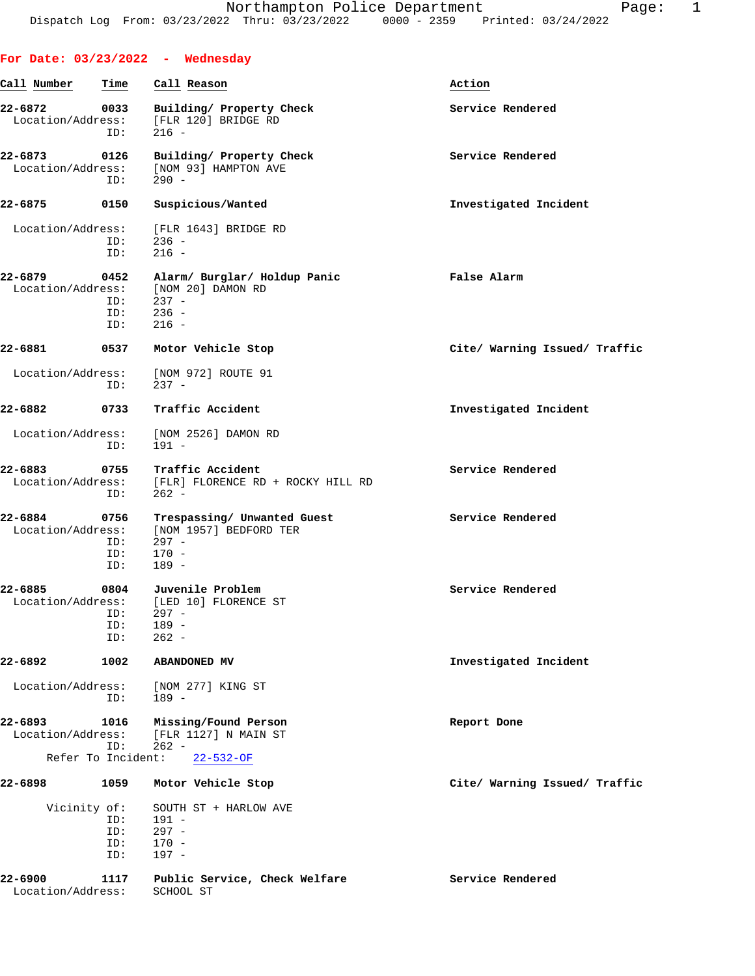|                              |                                  | For Date: $03/23/2022 -$ Wednesday                                                      |                               |
|------------------------------|----------------------------------|-----------------------------------------------------------------------------------------|-------------------------------|
| Call Number                  | Time                             | Call Reason                                                                             | Action                        |
| 22-6872<br>Location/Address: | 0033<br>ID:                      | Building/ Property Check<br>[FLR 120] BRIDGE RD<br>$216 -$                              | Service Rendered              |
| 22-6873<br>Location/Address: | 0126<br>ID:                      | Building/ Property Check<br>[NOM 93] HAMPTON AVE<br>$290 -$                             | Service Rendered              |
| 22-6875                      | 0150                             | Suspicious/Wanted                                                                       | Investigated Incident         |
| Location/Address:            | ID:<br>ID:                       | [FLR 1643] BRIDGE RD<br>$236 -$<br>$216 -$                                              |                               |
| 22-6879<br>Location/Address: | 0452<br>ID:<br>ID:<br>ID:        | Alarm/ Burglar/ Holdup Panic<br>[NOM 20] DAMON RD<br>$237 -$<br>$236 -$<br>$216 -$      | False Alarm                   |
| 22-6881                      | 0537                             | Motor Vehicle Stop                                                                      | Cite/ Warning Issued/ Traffic |
| Location/Address:            | ID:                              | [NOM 972] ROUTE 91<br>$237 -$                                                           |                               |
| 22-6882                      | 0733                             | Traffic Accident                                                                        | Investigated Incident         |
| Location/Address:            | ID:                              | [NOM 2526] DAMON RD<br>191 -                                                            |                               |
| 22-6883                      | ID:                              | 0755 Traffic Accident<br>Location/Address: [FLR] FLORENCE RD + ROCKY HILL RD<br>$262 -$ | Service Rendered              |
| 22-6884<br>Location/Address: | 0756<br>ID:<br>ID:<br>ID:        | Trespassing/ Unwanted Guest<br>[NOM 1957] BEDFORD TER<br>$297 -$<br>$170 -$<br>$189 -$  | Service Rendered              |
| 22-6885<br>Location/Address: | 0804<br>ID:<br>ID:<br>ID:        | Juvenile Problem<br>[LED 10] FLORENCE ST<br>$297 -$<br>$189 -$<br>$262 -$               | Service Rendered              |
| $22 - 6892$                  | 1002                             | ABANDONED MV                                                                            | Investigated Incident         |
| Location/Address:            | ID:                              | [NOM 277] KING ST<br>$189 -$                                                            |                               |
| 22-6893<br>Location/Address: | 1016<br>ID:                      | Missing/Found Person<br>[FLR 1127] N MAIN ST<br>$262 -$                                 | Report Done                   |
| Refer To Incident:           |                                  | $22 - 532 - OF$                                                                         |                               |
| 22-6898<br>Vicinity of:      | 1059<br>ID:<br>ID:<br>ID:<br>ID: | Motor Vehicle Stop<br>SOUTH ST + HARLOW AVE<br>$191 -$<br>$297 -$<br>$170 -$<br>$197 -$ | Cite/ Warning Issued/ Traffic |
| 22-6900<br>Location/Address: | 1117                             | Public Service, Check Welfare<br>SCHOOL ST                                              | Service Rendered              |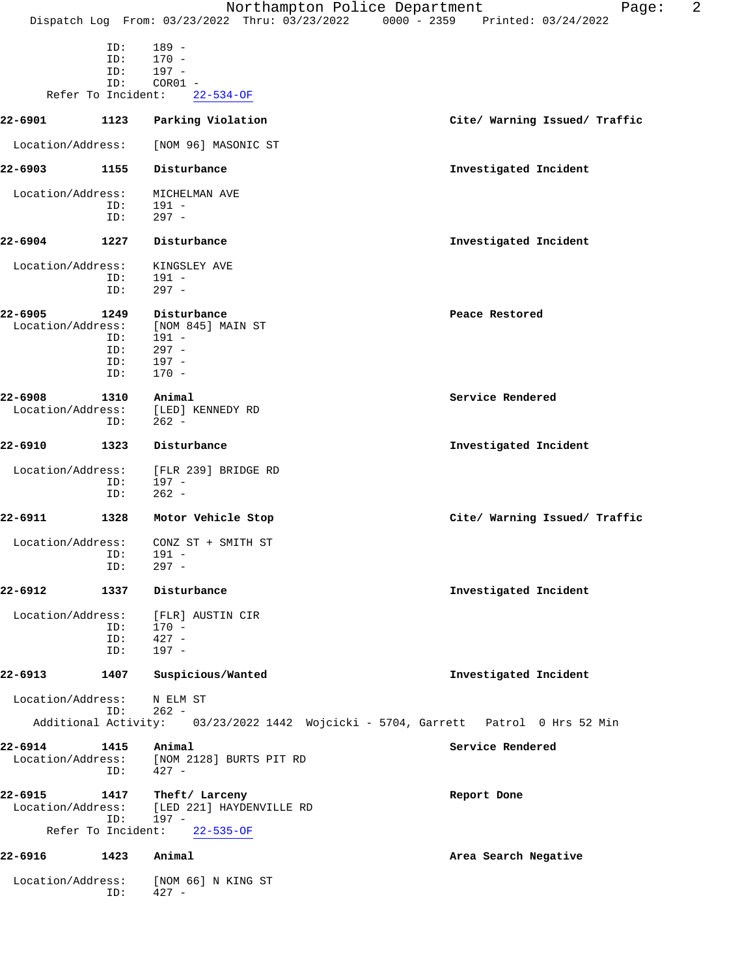|                              |                           |                                                                            | 2<br>Northampton Police Department<br>Page:<br>Dispatch Log From: 03/23/2022 Thru: 03/23/2022 0000 - 2359 Printed: 03/24/2022 |
|------------------------------|---------------------------|----------------------------------------------------------------------------|-------------------------------------------------------------------------------------------------------------------------------|
|                              | ID:<br>ID:<br>ID:<br>ID:  | $189 -$<br>$170 -$<br>$197 -$<br>$COR01 -$                                 |                                                                                                                               |
|                              | Refer To Incident:        | $22 - 534 - OF$                                                            |                                                                                                                               |
| 22-6901                      | 1123                      | Parking Violation                                                          | Cite/ Warning Issued/ Traffic                                                                                                 |
| Location/Address:            |                           | [NOM 96] MASONIC ST                                                        |                                                                                                                               |
| 22-6903                      | 1155                      | Disturbance                                                                | Investigated Incident                                                                                                         |
| Location/Address:            |                           | MICHELMAN AVE                                                              |                                                                                                                               |
|                              | ID:<br>ID:                | 191 -<br>$297 -$                                                           |                                                                                                                               |
| 22-6904                      | 1227                      | Disturbance                                                                | Investigated Incident                                                                                                         |
| Location/Address:            | ID:<br>ID:                | KINGSLEY AVE<br>191 -<br>$297 -$                                           |                                                                                                                               |
| 22-6905<br>Location/Address: | 1249<br>ID:<br>ID:        | Disturbance<br>[NOM 845] MAIN ST<br>$191 -$<br>$297 -$                     | Peace Restored                                                                                                                |
|                              | ID:<br>ID:                | $197 -$<br>$170 -$                                                         |                                                                                                                               |
| 22-6908                      | 1310                      | Animal                                                                     | Service Rendered                                                                                                              |
| Location/Address:            | ID:                       | [LED] KENNEDY RD<br>$262 -$                                                |                                                                                                                               |
| 22-6910                      | 1323                      | Disturbance                                                                | Investigated Incident                                                                                                         |
| Location/Address:            | ID:<br>ID:                | [FLR 239] BRIDGE RD<br>$197 -$<br>$262 -$                                  |                                                                                                                               |
| 22-6911                      | 1328                      | Motor Vehicle Stop                                                         | Cite/ Warning Issued/ Traffic                                                                                                 |
| Location/Address:            | ID:<br>ID:                | CONZ ST + SMITH ST<br>$191 -$<br>$297 -$                                   |                                                                                                                               |
| 22-6912                      | 1337                      | Disturbance                                                                | Investigated Incident                                                                                                         |
| Location/Address:            | ID:<br>ID:<br>ID:         | [FLR] AUSTIN CIR<br>$170 -$<br>$427 -$<br>$197 -$                          |                                                                                                                               |
| 22-6913                      | 1407                      | Suspicious/Wanted                                                          | Investigated Incident                                                                                                         |
| Location/Address:            | ID:                       | N ELM ST<br>$262 -$                                                        |                                                                                                                               |
|                              |                           |                                                                            | Additional Activity: 03/23/2022 1442 Wojcicki - 5704, Garrett Patrol 0 Hrs 52 Min                                             |
| 22-6914<br>Location/Address: | 1415<br>ID:               | Animal<br>[NOM 2128] BURTS PIT RD<br>$427 -$                               | Service Rendered                                                                                                              |
| 22-6915<br>Location/Address: | ID:<br>Refer To Incident: | 1417 Theft/Larceny<br>[LED 221] HAYDENVILLE RD<br>197 -<br>$22 - 535 - OF$ | Report Done                                                                                                                   |
| 22-6916                      | 1423                      | Animal                                                                     | Area Search Negative                                                                                                          |

 Location/Address: [NOM 66] N KING ST ID: 427 -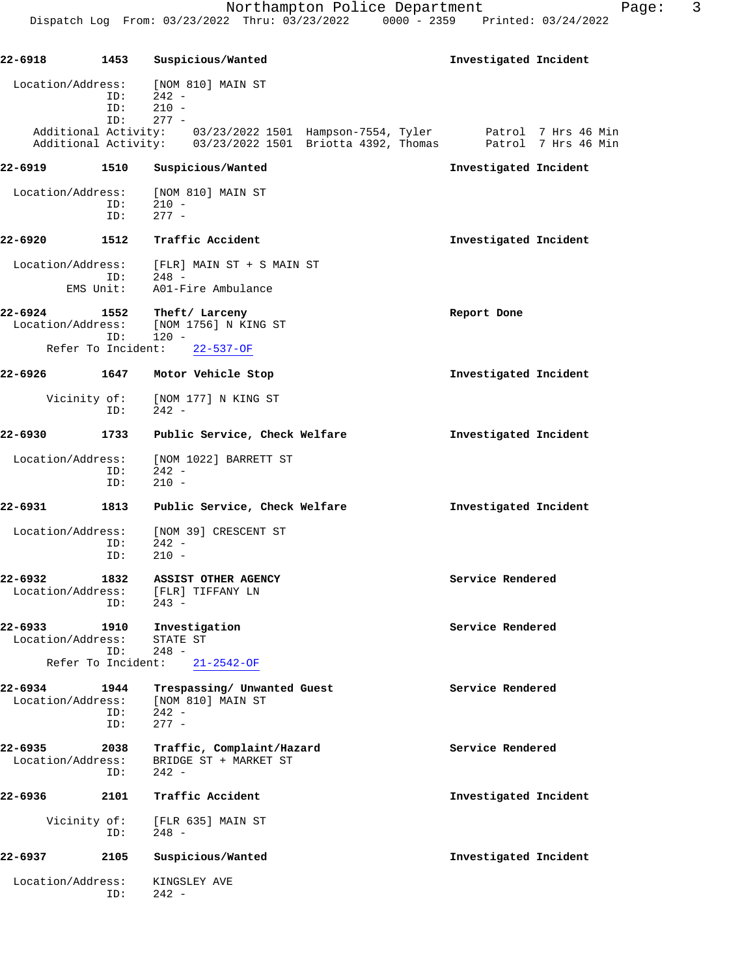| 22-6918                        | 1453               | Suspicious/Wanted                                                                                                                                             | Investigated Incident |
|--------------------------------|--------------------|---------------------------------------------------------------------------------------------------------------------------------------------------------------|-----------------------|
| Location/Address:              | ID:<br>ID:<br>ID:  | [NOM 810] MAIN ST<br>$242 -$<br>$210 -$<br>$277 -$                                                                                                            |                       |
|                                |                    | Additional Activity: 03/23/2022 1501 Hampson-7554, Tyler Patrol 7 Hrs 46 Min<br>Additional Activity: 03/23/2022 1501 Briotta 4392, Thomas Patrol 7 Hrs 46 Min |                       |
| 22-6919                        | 1510               | Suspicious/Wanted                                                                                                                                             | Investigated Incident |
| Location/Address:              | ID:<br>ID:         | [NOM 810] MAIN ST<br>$210 -$<br>$277 -$                                                                                                                       |                       |
| 22-6920                        | 1512               | Traffic Accident                                                                                                                                              | Investigated Incident |
| Location/Address:<br>EMS Unit: | ID:                | [FLR] MAIN ST + S MAIN ST<br>$248 -$<br>A01-Fire Ambulance                                                                                                    |                       |
| 22-6924<br>Location/Address:   | 1552<br>ID:        | Theft/ Larceny<br>[NOM 1756] N KING ST<br>$120 -$                                                                                                             | Report Done           |
| Refer To Incident:             |                    | $22 - 537 - OF$                                                                                                                                               |                       |
| 22-6926                        |                    | 1647 Motor Vehicle Stop                                                                                                                                       | Investigated Incident |
| Vicinity of:                   | ID:                | [NOM 177] N KING ST<br>$242 -$                                                                                                                                |                       |
| 22-6930                        | 1733               | Public Service, Check Welfare                                                                                                                                 | Investigated Incident |
| Location/Address:              | ID:<br>ID:         | [NOM 1022] BARRETT ST<br>$242 -$<br>$210 -$                                                                                                                   |                       |
| 22-6931                        | 1813               | Public Service, Check Welfare                                                                                                                                 | Investigated Incident |
| Location/Address:              | ID:<br>ID:         | [NOM 39] CRESCENT ST<br>$242 -$<br>$210 -$                                                                                                                    |                       |
| 22-6932<br>Location/Address:   | 1832<br>ID:        | ASSIST OTHER AGENCY<br>[FLR] TIFFANY LN<br>243 -                                                                                                              | Service Rendered      |
| 22-6933<br>Location/Address:   | 1910<br>ID:        | Investigation<br>STATE ST<br>$248 -$                                                                                                                          | Service Rendered      |
| Refer To Incident:             |                    | $21 - 2542 - OF$                                                                                                                                              |                       |
| 22-6934<br>Location/Address:   | 1944<br>ID:<br>ID: | Trespassing/ Unwanted Guest<br>[NOM 810] MAIN ST<br>$242 -$<br>$277 -$                                                                                        | Service Rendered      |
| 22-6935<br>Location/Address:   | 2038<br>ID:        | Traffic, Complaint/Hazard<br>BRIDGE ST + MARKET ST<br>$242 -$                                                                                                 | Service Rendered      |
| 22-6936                        | 2101               | Traffic Accident                                                                                                                                              | Investigated Incident |
| Vicinity of:                   | ID:                | [FLR 635] MAIN ST<br>$248 -$                                                                                                                                  |                       |
| 22-6937                        | 2105               | Suspicious/Wanted                                                                                                                                             | Investigated Incident |
| Location/Address:              | ID:                | KINGSLEY AVE<br>$242 -$                                                                                                                                       |                       |